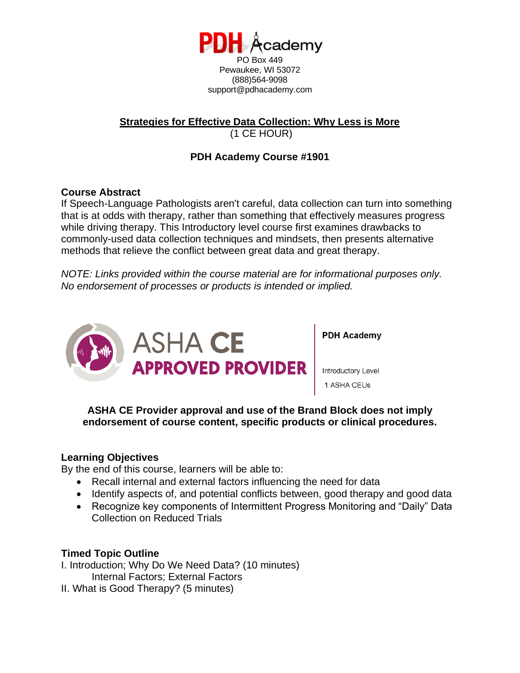

support@pdhacademy.com

### **Strategies for Effective Data Collection: Why Less is More** (1 CE HOUR)

# **PDH Academy Course #1901**

## **Course Abstract**

If Speech-Language Pathologists aren't careful, data collection can turn into something that is at odds with therapy, rather than something that effectively measures progress while driving therapy. This Introductory level course first examines drawbacks to commonly-used data collection techniques and mindsets, then presents alternative methods that relieve the conflict between great data and great therapy.

*NOTE: Links provided within the course material are for informational purposes only. No endorsement of processes or products is intended or implied.*



**PDH Academy** 

Introductory Level .1 ASHA CEUs

**ASHA CE Provider approval and use of the Brand Block does not imply endorsement of course content, specific products or clinical procedures.**

### **Learning Objectives**

By the end of this course, learners will be able to:

- Recall internal and external factors influencing the need for data
- Identify aspects of, and potential conflicts between, good therapy and good data
- Recognize key components of Intermittent Progress Monitoring and "Daily" Data Collection on Reduced Trials

# **Timed Topic Outline**

I. Introduction; Why Do We Need Data? (10 minutes) Internal Factors; External Factors

II. What is Good Therapy? (5 minutes)